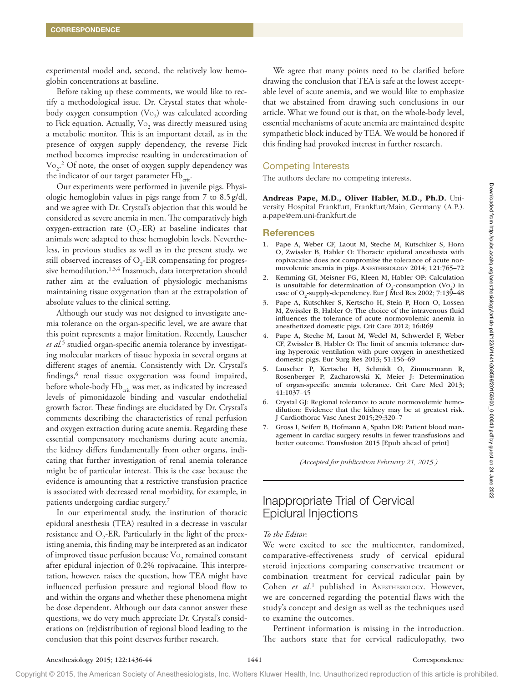experimental model and, second, the relatively low hemoglobin concentrations at baseline.

Before taking up these comments, we would like to rectify a methodological issue. Dr. Crystal states that wholebody oxygen consumption  $(\mathrm{Vo}_2)$  was calculated according to Fick equation. Actually,  $\mathrm{Vo}_2$  was directly measured using a metabolic monitor. This is an important detail, as in the presence of oxygen supply dependency, the reverse Fick method becomes imprecise resulting in underestimation of  $\text{Vo}_{2}$ .<sup>2</sup> Of note, the onset of oxygen supply dependency was the indicator of our target parameter Hb<sub>crit</sub>.

Our experiments were performed in juvenile pigs. Physiologic hemoglobin values in pigs range from 7 to 8.5g/dl, and we agree with Dr. Crystal's objection that this would be considered as severe anemia in men. The comparatively high oxygen-extraction rate  $(O_2$ -ER) at baseline indicates that animals were adapted to these hemoglobin levels. Nevertheless, in previous studies as well as in the present study, we still observed increases of  $O_2$ -ER compensating for progressive hemodilution.<sup>1,3,4</sup> Inasmuch, data interpretation should rather aim at the evaluation of physiologic mechanisms maintaining tissue oxygenation than at the extrapolation of absolute values to the clinical setting.

Although our study was not designed to investigate anemia tolerance on the organ-specific level, we are aware that this point represents a major limitation. Recently, Lauscher *et al.*<sup>5</sup> studied organ-specific anemia tolerance by investigating molecular markers of tissue hypoxia in several organs at different stages of anemia. Consistently with Dr. Crystal's findings,<sup>6</sup> renal tissue oxygenation was found impaired, before whole-body  $Hb_{\text{crit}}$  was met, as indicated by increased levels of pimonidazole binding and vascular endothelial growth factor. These findings are elucidated by Dr. Crystal's comments describing the characteristics of renal perfusion and oxygen extraction during acute anemia. Regarding these essential compensatory mechanisms during acute anemia, the kidney differs fundamentally from other organs, indicating that further investigation of renal anemia tolerance might be of particular interest. This is the case because the evidence is amounting that a restrictive transfusion practice is associated with decreased renal morbidity, for example, in patients undergoing cardiac surgery.7 Use continuous was probabilitations Result in Fig. 1941<br>
Single Knowledge Material in the right angle for the state of the state of the continuous contents and the contents of the state of the state of the state of the s

In our experimental study, the institution of thoracic epidural anesthesia (TEA) resulted in a decrease in vascular resistance and  $O_2$ -ER. Particularly in the light of the preexisting anemia, this finding may be interpreted as an indicator of improved tissue perfusion because  $\mathrm{Vo}_2$  remained constant after epidural injection of 0.2% ropivacaine. This interpretation, however, raises the question, how TEA might have influenced perfusion pressure and regional blood flow to and within the organs and whether these phenomena might be dose dependent. Although our data cannot answer these questions, we do very much appreciate Dr. Crystal's considerations on (re)distribution of regional blood leading to the conclusion that this point deserves further research.

We agree that many points need to be clarified before drawing the conclusion that TEA is safe at the lowest acceptable level of acute anemia, and we would like to emphasize that we abstained from drawing such conclusions in our article. What we found out is that, on the whole-body level, essential mechanisms of acute anemia are maintained despite sympathetic block induced by TEA. We would be honored if this finding had provoked interest in further research.

## Competing Interests

The authors declare no competing interests.

Andreas Pape, M.D., Oliver Habler, M.D., Ph.D. University Hospital Frankfurt, Frankfurt/Main, Germany (A.P.). [a.pape@em.uni-frankfurt.de](mailto:a.pape@em.uni-frankfurt.de)

#### References

- 1. Pape A, Weber CF, Laout M, Steche M, Kutschker S, Horn O, Zwissler B, Habler O: Thoracic epidural anesthesia with ropivacaine does not compromise the tolerance of acute normovolemic anemia in pigs. Anesthesiology 2014; 121:765–72
- 2. Kemming GI, Meisner FG, Kleen M, Habler OP: Calculation is unsuitable for determination of  $O_2$ -consumption (Vo<sub>2</sub>) in case of O<sub>2</sub>-supply-dependency. Eur J Med Res 2002; 7:139-48
- 3. Pape A, Kutschker S, Kertscho H, Stein P, Horn O, Lossen M, Zwissler B, Habler O: The choice of the intravenous fluid influences the tolerance of acute normovolemic anemia in anesthetized domestic pigs. Crit Care 2012; 16:R69
- 4. Pape A, Steche M, Laout M, Wedel M, Schwerdel F, Weber CF, Zwissler B, Habler O: The limit of anemia tolerance during hyperoxic ventilation with pure oxygen in anesthetized domestic pigs. Eur Surg Res 2013; 51:156–69
- 5. Lauscher P, Kertscho H, Schmidt O, Zimmermann R, Rosenberger P, Zacharowski K, Meier J: Determination of organ-specific anemia tolerance. Crit Care Med 2013; 41:1037–45
- 6. Crystal GJ: Regional tolerance to acute normovolemic hemodilution: Evidence that the kidney may be at greatest risk. J Cardiothorac Vasc Anest 2015;29:320–7
- 7. Gross I, Seifert B, Hofmann A, Spahn DR: Patient blood management in cardiac surgery results in fewer transfusions and better outcome. Transfusion 2015 [Epub ahead of print]

*(Accepted for publication February 21, 2015.)*

# Inappropriate Trial of Cervical Epidural Injections

#### *To the Editor:*

We were excited to see the multicenter, randomized, comparative-effectiveness study of cervical epidural steroid injections comparing conservative treatment or combination treatment for cervical radicular pain by Cohen et al.<sup>1</sup> published in ANESTHESIOLOGY. However, we are concerned regarding the potential flaws with the study's concept and design as well as the techniques used to examine the outcomes.

Pertinent information is missing in the introduction. The authors state that for cervical radiculopathy, two